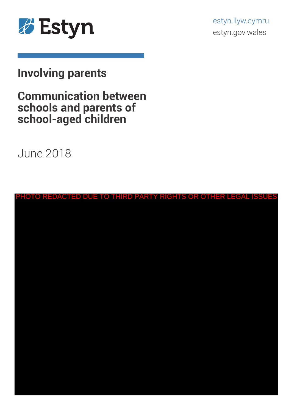

estyn.llyw.cymru estyn.gov.wales

# **Involving parents**

# **Communication between schools and parents of school-aged children**

June 2018

|  |  |  |  |  |  |  |  |  |  |  | PHOTO REDACTED DUE TO THIRD PARTY RIGHTS OR OTHER LEGAL ISSUES |
|--|--|--|--|--|--|--|--|--|--|--|----------------------------------------------------------------|
|  |  |  |  |  |  |  |  |  |  |  |                                                                |
|  |  |  |  |  |  |  |  |  |  |  |                                                                |
|  |  |  |  |  |  |  |  |  |  |  |                                                                |
|  |  |  |  |  |  |  |  |  |  |  |                                                                |
|  |  |  |  |  |  |  |  |  |  |  |                                                                |
|  |  |  |  |  |  |  |  |  |  |  |                                                                |
|  |  |  |  |  |  |  |  |  |  |  |                                                                |
|  |  |  |  |  |  |  |  |  |  |  |                                                                |
|  |  |  |  |  |  |  |  |  |  |  |                                                                |
|  |  |  |  |  |  |  |  |  |  |  |                                                                |
|  |  |  |  |  |  |  |  |  |  |  |                                                                |
|  |  |  |  |  |  |  |  |  |  |  |                                                                |
|  |  |  |  |  |  |  |  |  |  |  |                                                                |
|  |  |  |  |  |  |  |  |  |  |  |                                                                |
|  |  |  |  |  |  |  |  |  |  |  |                                                                |
|  |  |  |  |  |  |  |  |  |  |  |                                                                |
|  |  |  |  |  |  |  |  |  |  |  |                                                                |
|  |  |  |  |  |  |  |  |  |  |  |                                                                |
|  |  |  |  |  |  |  |  |  |  |  |                                                                |
|  |  |  |  |  |  |  |  |  |  |  |                                                                |
|  |  |  |  |  |  |  |  |  |  |  |                                                                |
|  |  |  |  |  |  |  |  |  |  |  |                                                                |
|  |  |  |  |  |  |  |  |  |  |  |                                                                |
|  |  |  |  |  |  |  |  |  |  |  |                                                                |
|  |  |  |  |  |  |  |  |  |  |  |                                                                |
|  |  |  |  |  |  |  |  |  |  |  |                                                                |
|  |  |  |  |  |  |  |  |  |  |  |                                                                |
|  |  |  |  |  |  |  |  |  |  |  |                                                                |
|  |  |  |  |  |  |  |  |  |  |  |                                                                |
|  |  |  |  |  |  |  |  |  |  |  |                                                                |
|  |  |  |  |  |  |  |  |  |  |  |                                                                |
|  |  |  |  |  |  |  |  |  |  |  |                                                                |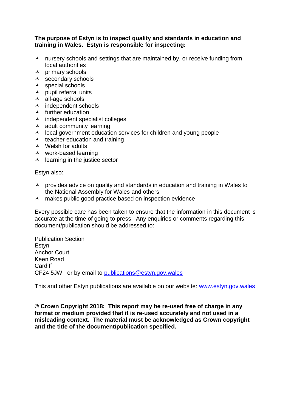#### **The purpose of Estyn is to inspect quality and standards in education and training in Wales. Estyn is responsible for inspecting:**

- $\lambda$  nursery schools and settings that are maintained by, or receive funding from, local authorities
- $\lambda$  primary schools
- $\lambda$  secondary schools
- $\lambda$  special schools
- $\lambda$  pupil referral units
- all-age schools
- $\lambda$  independent schools
- $\lambda$  further education
- $\lambda$  independent specialist colleges
- $\lambda$  adult community learning
- $\lambda$  local government education services for children and young people
- $\lambda$  teacher education and training
- Welsh for adults
- work-based learning
- $\lambda$  learning in the justice sector

Estyn also:

- $\lambda$  provides advice on quality and standards in education and training in Wales to the National Assembly for Wales and others
- $\lambda$  makes public good practice based on inspection evidence

Every possible care has been taken to ensure that the information in this document is accurate at the time of going to press. Any enquiries or comments regarding this document/publication should be addressed to:

Publication Section **Estvn** Anchor Court Keen Road **Cardiff** CF24 5JW or by email to [publications@estyn.gov.wales](mailto:publications@estyn.gov.wales)

This and other Estyn publications are available on our website: [www.estyn.gov.wales](http://www.estyn.gov.wales/)

**© Crown Copyright 2018: This report may be re-used free of charge in any format or medium provided that it is re-used accurately and not used in a misleading context. The material must be acknowledged as Crown copyright and the title of the document/publication specified.**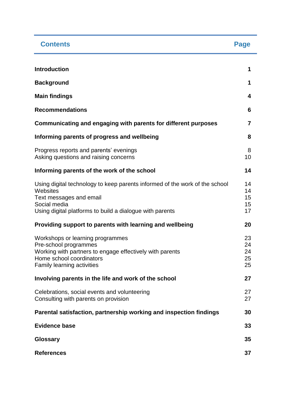| <b>Contents</b>                                                                                                                                                                                | Page                       |
|------------------------------------------------------------------------------------------------------------------------------------------------------------------------------------------------|----------------------------|
| <b>Introduction</b>                                                                                                                                                                            | 1                          |
| <b>Background</b>                                                                                                                                                                              | 1                          |
| <b>Main findings</b>                                                                                                                                                                           | 4                          |
|                                                                                                                                                                                                | 6                          |
| <b>Recommendations</b>                                                                                                                                                                         |                            |
| Communicating and engaging with parents for different purposes                                                                                                                                 | 7                          |
| Informing parents of progress and wellbeing                                                                                                                                                    | 8                          |
| Progress reports and parents' evenings<br>Asking questions and raising concerns                                                                                                                | 8<br>10                    |
| Informing parents of the work of the school                                                                                                                                                    | 14                         |
| Using digital technology to keep parents informed of the work of the school<br>Websites<br>Text messages and email<br>Social media<br>Using digital platforms to build a dialogue with parents | 14<br>14<br>15<br>15<br>17 |
| Providing support to parents with learning and wellbeing                                                                                                                                       | 20                         |
| Workshops or learning programmes<br>Pre-school programmes<br>Working with partners to engage effectively with parents<br>Home school coordinators<br>Family learning activities                | 23<br>24<br>24<br>25<br>25 |
| Involving parents in the life and work of the school                                                                                                                                           | 27                         |
| Celebrations, social events and volunteering<br>Consulting with parents on provision                                                                                                           | 27<br>27                   |
| Parental satisfaction, partnership working and inspection findings                                                                                                                             | 30                         |
| <b>Evidence base</b>                                                                                                                                                                           | 33                         |
| <b>Glossary</b>                                                                                                                                                                                | 35                         |
| <b>References</b>                                                                                                                                                                              | 37                         |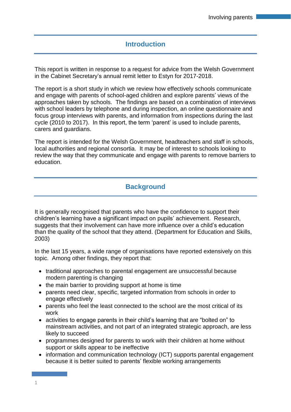## **Introduction**

This report is written in response to a request for advice from the Welsh Government in the Cabinet Secretary's annual remit letter to Estyn for 2017-2018.

The report is a short study in which we review how effectively schools communicate and engage with parents of school-aged children and explore parents' views of the approaches taken by schools. The findings are based on a combination of interviews with school leaders by telephone and during inspection, an online questionnaire and focus group interviews with parents, and information from inspections during the last cycle (2010 to 2017). In this report, the term 'parent' is used to include parents, carers and guardians.

The report is intended for the Welsh Government, headteachers and staff in schools, local authorities and regional consortia. It may be of interest to schools looking to review the way that they communicate and engage with parents to remove barriers to education.

## **Background**

It is generally recognised that parents who have the confidence to support their children's learning have a significant impact on pupils' achievement. Research, suggests that their involvement can have more influence over a child's education than the quality of the school that they attend. (Department for Education and Skills, 2003)

In the last 15 years, a wide range of organisations have reported extensively on this topic. Among other findings, they report that:

- traditional approaches to parental engagement are unsuccessful because modern parenting is changing
- the main barrier to providing support at home is time
- parents need clear, specific, targeted information from schools in order to engage effectively
- parents who feel the least connected to the school are the most critical of its work
- activities to engage parents in their child's learning that are "bolted on" to mainstream activities, and not part of an integrated strategic approach, are less likely to succeed
- programmes designed for parents to work with their children at home without support or skills appear to be ineffective
- information and communication technology (ICT) supports parental engagement because it is better suited to parents' flexible working arrangements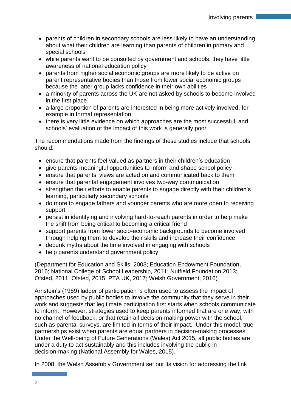- parents of children in secondary schools are less likely to have an understanding about what their children are learning than parents of children in primary and special schools
- while parents want to be consulted by government and schools, they have little awareness of national education policy
- parents from higher social economic groups are more likely to be active on parent representative bodies than those from lower social economic groups because the latter group lacks confidence in their own abilities
- a minority of parents across the UK are not asked by schools to become involved in the first place
- a large proportion of parents are interested in being more actively involved, for example in formal representation
- there is very little evidence on which approaches are the most successful, and schools' evaluation of the impact of this work is generally poor

The recommendations made from the findings of these studies include that schools should:

- ensure that parents feel valued as partners in their children's education
- give parents meaningful opportunities to inform and shape school policy
- ensure that parents' views are acted on and communicated back to them
- ensure that parental engagement involves two-way communication
- strengthen their efforts to enable parents to engage directly with their children's learning, particularly secondary schools
- do more to engage fathers and younger parents who are more open to receiving support
- persist in identifying and involving hard-to-reach parents in order to help make the shift from being critical to becoming a critical friend
- support parents from lower socio-economic backgrounds to become involved through helping them to develop their skills and increase their confidence
- debunk myths about the time involved in engaging with schools
- help parents understand government policy

(Department for Education and Skills, 2003; Education Endowment Foundation, 2016; National College of School Leadership, 2011; Nuffield Foundation 2013; Ofsted, 2011; Ofsted, 2015; PTA UK, 2017; Welsh Government, 2016)

Arnstein's (1969) ladder of participation is often used to assess the impact of approaches used by public bodies to involve the community that they serve in their work and suggests that legitimate participation first starts when schools communicate to inform. However, strategies used to keep parents informed that are one way, with no channel of feedback, or that retain all decision-making power with the school, such as parental surveys, are limited in terms of their impact. Under this model, true partnerships exist when parents are equal partners in decision-making processes. Under the Well-being of Future Generations (Wales) Act 2015, all public bodies are under a duty to act sustainably and this includes involving the public in decision-making (National Assembly for Wales, 2015).

In 2008, the Welsh Assembly Government set out its vision for addressing the link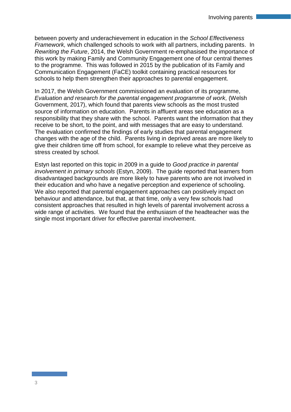between poverty and underachievement in education in the *School Effectiveness Framework,* which challenged schools to work with all partners, including parents. In *Rewriting the Future*, 2014, the Welsh Government re-emphasised the importance of this work by making Family and Community Engagement one of four central themes to the programme. This was followed in 2015 by the publication of its Family and Communication Engagement (FaCE) toolkit containing practical resources for schools to help them strengthen their approaches to parental engagement.

In 2017, the Welsh Government commissioned an evaluation of its programme, *Evaluation and research for the parental engagement programme of work,* (Welsh Government, 2017), which found that parents view schools as the most trusted source of information on education. Parents in affluent areas see education as a responsibility that they share with the school. Parents want the information that they receive to be short, to the point, and with messages that are easy to understand. The evaluation confirmed the findings of early studies that parental engagement changes with the age of the child. Parents living in deprived areas are more likely to give their children time off from school, for example to relieve what they perceive as stress created by school.

Estyn last reported on this topic in 2009 in a guide to *Good practice in parental involvement in primary schools* (Estyn, 2009). The guide reported that learners from disadvantaged backgrounds are more likely to have parents who are not involved in their education and who have a negative perception and experience of schooling. We also reported that parental engagement approaches can positively impact on behaviour and attendance, but that, at that time, only a very few schools had consistent approaches that resulted in high levels of parental involvement across a wide range of activities. We found that the enthusiasm of the headteacher was the single most important driver for effective parental involvement.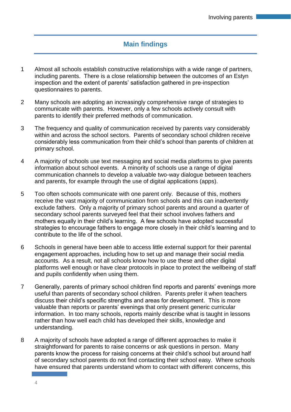## **Main findings**

- 1 Almost all schools establish constructive relationships with a wide range of partners, including parents. There is a close relationship between the outcomes of an Estyn inspection and the extent of parents' satisfaction gathered in pre-inspection questionnaires to parents.
- 2 Many schools are adopting an increasingly comprehensive range of strategies to communicate with parents. However, only a few schools actively consult with parents to identify their preferred methods of communication.
- 3 The frequency and quality of communication received by parents vary considerably within and across the school sectors. Parents of secondary school children receive considerably less communication from their child's school than parents of children at primary school.
- 4 A majority of schools use text messaging and social media platforms to give parents information about school events. A minority of schools use a range of digital communication channels to develop a valuable two-way dialogue between teachers and parents, for example through the use of digital applications (apps).
- 5 Too often schools communicate with one parent only. Because of this, mothers receive the vast majority of communication from schools and this can inadvertently exclude fathers. Only a majority of primary school parents and around a quarter of secondary school parents surveyed feel that their school involves fathers and mothers equally in their child's learning. A few schools have adopted successful strategies to encourage fathers to engage more closely in their child's learning and to contribute to the life of the school.
- 6 Schools in general have been able to access little external support for their parental engagement approaches, including how to set up and manage their social media accounts. As a result, not all schools know how to use these and other digital platforms well enough or have clear protocols in place to protect the wellbeing of staff and pupils confidently when using them.
- 7 Generally, parents of primary school children find reports and parents' evenings more useful than parents of secondary school children. Parents prefer it when teachers discuss their child's specific strengths and areas for development. This is more valuable than reports or parents' evenings that only present generic curricular information. In too many schools, reports mainly describe what is taught in lessons rather than how well each child has developed their skills, knowledge and understanding.
- 8 A majority of schools have adopted a range of different approaches to make it straightforward for parents to raise concerns or ask questions in person. Many parents know the process for raising concerns at their child's school but around half of secondary school parents do not find contacting their school easy. Where schools have ensured that parents understand whom to contact with different concerns, this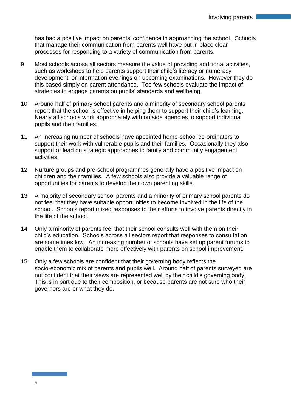has had a positive impact on parents' confidence in approaching the school. Schools that manage their communication from parents well have put in place clear processes for responding to a variety of communication from parents.

- 9 Most schools across all sectors measure the value of providing additional activities, such as workshops to help parents support their child's literacy or numeracy development, or information evenings on upcoming examinations. However they do this based simply on parent attendance. Too few schools evaluate the impact of strategies to engage parents on pupils' standards and wellbeing.
- 10 Around half of primary school parents and a minority of secondary school parents report that the school is effective in helping them to support their child's learning. Nearly all schools work appropriately with outside agencies to support individual pupils and their families.
- 11 An increasing number of schools have appointed home-school co-ordinators to support their work with vulnerable pupils and their families. Occasionally they also support or lead on strategic approaches to family and community engagement activities.
- 12 Nurture groups and pre-school programmes generally have a positive impact on children and their families. A few schools also provide a valuable range of opportunities for parents to develop their own parenting skills.
- 13 A majority of secondary school parents and a minority of primary school parents do not feel that they have suitable opportunities to become involved in the life of the school. Schools report mixed responses to their efforts to involve parents directly in the life of the school.
- 14 Only a minority of parents feel that their school consults well with them on their child's education. Schools across all sectors report that responses to consultation are sometimes low. An increasing number of schools have set up parent forums to enable them to collaborate more effectively with parents on school improvement.
- 15 Only a few schools are confident that their governing body reflects the socio-economic mix of parents and pupils well. Around half of parents surveyed are not confident that their views are represented well by their child's governing body. This is in part due to their composition, or because parents are not sure who their governors are or what they do.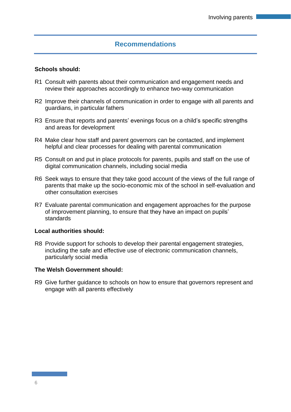## **Recommendations**

#### **Schools should:**

- R1 Consult with parents about their communication and engagement needs and review their approaches accordingly to enhance two-way communication
- R2 Improve their channels of communication in order to engage with all parents and guardians, in particular fathers
- R3 Ensure that reports and parents' evenings focus on a child's specific strengths and areas for development
- R4 Make clear how staff and parent governors can be contacted, and implement helpful and clear processes for dealing with parental communication
- R5 Consult on and put in place protocols for parents, pupils and staff on the use of digital communication channels, including social media
- R6 Seek ways to ensure that they take good account of the views of the full range of parents that make up the socio-economic mix of the school in self-evaluation and other consultation exercises
- R7 Evaluate parental communication and engagement approaches for the purpose of improvement planning, to ensure that they have an impact on pupils' standards

#### **Local authorities should:**

R8 Provide support for schools to develop their parental engagement strategies, including the safe and effective use of electronic communication channels, particularly social media

#### **The Welsh Government should:**

R9 Give further guidance to schools on how to ensure that governors represent and engage with all parents effectively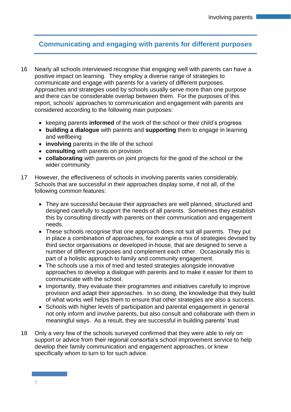## **Communicating and engaging with parents for different purposes**

- 16 Nearly all schools interviewed recognise that engaging well with parents can have a positive impact on learning. They employ a diverse range of strategies to communicate and engage with parents for a variety of different purposes. Approaches and strategies used by schools usually serve more than one purpose and there can be considerable overlap between them. For the purposes of this report, schools' approaches to communication and engagement with parents are considered according to the following main purposes:
	- keeping parents **informed** of the work of the school or their child's progress
	- **building a dialogue** with parents and **supporting** them to engage in learning and wellbeing
	- **involving** parents in the life of the school
	- **consulting** with parents on provision
	- **collaborating** with parents on joint projects for the good of the school or the wider community
- 17 However, the effectiveness of schools in involving parents varies considerably. Schools that are successful in their approaches display some, if not all, of the following common features:
	- They are successful because their approaches are well planned, structured and designed carefully to support the needs of all parents. Sometimes they establish this by consulting directly with parents on their communication and engagement needs.
	- These schools recognise that one approach does not suit all parents. They put in place a combination of approaches, for example a mix of strategies devised by third sector organisations or developed in-house, that are designed to serve a number of different purposes and complement each other. Occasionally this is part of a holistic approach to family and community engagement.
	- The schools use a mix of tried and tested strategies alongside innovative approaches to develop a dialogue with parents and to make it easier for them to communicate with the school.
	- Importantly, they evaluate their programmes and initiatives carefully to improve provision and adapt their approaches. In so doing, the knowledge that they build of what works well helps them to ensure that other strategies are also a success.
	- Schools with higher levels of participation and parental engagement in general not only inform and involve parents, but also consult and collaborate with them in meaningful ways. As a result, they are successful in building parents' trust
- 18 Only a very few of the schools surveyed confirmed that they were able to rely on support or advice from their regional consortia's school improvement service to help develop their family communication and engagement approaches, or knew specifically whom to turn to for such advice.

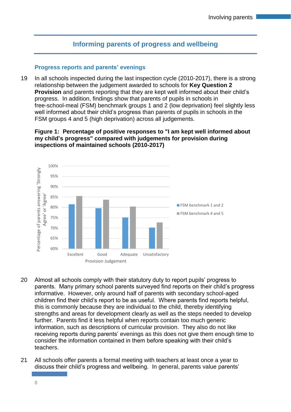## **Informing parents of progress and wellbeing**

#### **Progress reports and parents' evenings**

19 In all schools inspected during the last inspection cycle (2010-2017), there is a strong relationship between the judgement awarded to schools for **Key Question 2 Provision** and parents reporting that they are kept well informed about their child's progress. In addition, findings show that parents of pupils in schools in free-school-meal (FSM) benchmark groups 1 and 2 (low deprivation) feel slightly less well informed about their child's progress than parents of pupils in schools in the FSM groups 4 and 5 (high deprivation) across all judgements.

## **Figure 1: Percentage of positive responses to "I am kept well informed about my child's progress" compared with judgements for provision during inspections of maintained schools (2010-2017)**



- 20 Almost all schools comply with their statutory duty to report pupils' progress to parents. Many primary school parents surveyed find reports on their child's progress informative. However, only around half of parents with secondary school-aged children find their child's report to be as useful. Where parents find reports helpful, this is commonly because they are individual to the child, thereby identifying strengths and areas for development clearly as well as the steps needed to develop further. Parents find it less helpful when reports contain too much generic information, such as descriptions of curricular provision. They also do not like receiving reports during parents' evenings as this does not give them enough time to consider the information contained in them before speaking with their child's teachers.
- 21 All schools offer parents a formal meeting with teachers at least once a year to discuss their child's progress and wellbeing. In general, parents value parents'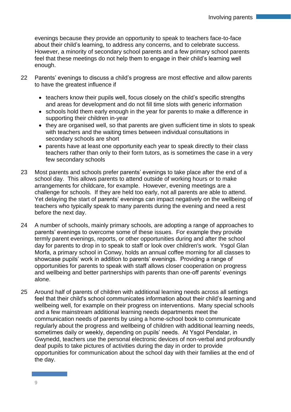evenings because they provide an opportunity to speak to teachers face-to-face about their child's learning, to address any concerns, and to celebrate success. However, a minority of secondary school parents and a few primary school parents feel that these meetings do not help them to engage in their child's learning well enough.

- 22 Parents' evenings to discuss a child's progress are most effective and allow parents to have the greatest influence if
	- teachers know their pupils well, focus closely on the child's specific strengths and areas for development and do not fill time slots with generic information
	- schools hold them early enough in the year for parents to make a difference in supporting their children in-year
	- they are organised well, so that parents are given sufficient time in slots to speak with teachers and the waiting times between individual consultations in secondary schools are short
	- parents have at least one opportunity each year to speak directly to their class teachers rather than only to their form tutors, as is sometimes the case in a very few secondary schools
- 23 Most parents and schools prefer parents' evenings to take place after the end of a school day. This allows parents to attend outside of working hours or to make arrangements for childcare, for example. However, evening meetings are a challenge for schools. If they are held too early, not all parents are able to attend. Yet delaying the start of parents' evenings can impact negatively on the wellbeing of teachers who typically speak to many parents during the evening and need a rest before the next day.
- 24 A number of schools, mainly primary schools, are adopting a range of approaches to parents' evenings to overcome some of these issues. For example they provide termly parent evenings, reports, or other opportunities during and after the school day for parents to drop in to speak to staff or look over children's work. Ysgol Glan Morfa, a primary school in Conwy, holds an annual coffee morning for all classes to showcase pupils' work in addition to parents' evenings. Providing a range of opportunities for parents to speak with staff allows closer cooperation on progress and wellbeing and better partnerships with parents than one-off parents' evenings alone.
- 25 Around half of parents of children with additional learning needs across all settings feel that their child's school communicates information about their child's learning and wellbeing well, for example on their progress on interventions. Many special schools and a few mainstream additional learning needs departments meet the communication needs of parents by using a home-school book to communicate regularly about the progress and wellbeing of children with additional learning needs, sometimes daily or weekly, depending on pupils' needs. At Ysgol Pendalar, in Gwynedd, teachers use the personal electronic devices of non-verbal and profoundly deaf pupils to take pictures of activities during the day in order to provide opportunities for communication about the school day with their families at the end of the day.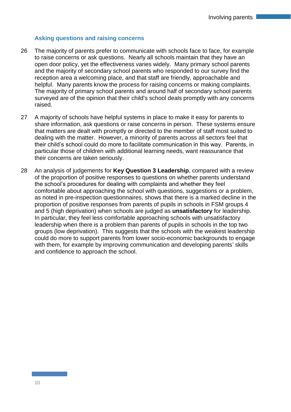## **Asking questions and raising concerns**

- 26 The majority of parents prefer to communicate with schools face to face, for example to raise concerns or ask questions. Nearly all schools maintain that they have an open door policy, yet the effectiveness varies widely. Many primary school parents and the majority of secondary school parents who responded to our survey find the reception area a welcoming place, and that staff are friendly, approachable and helpful. Many parents know the process for raising concerns or making complaints. The majority of primary school parents and around half of secondary school parents surveyed are of the opinion that their child's school deals promptly with any concerns raised.
- 27 A majority of schools have helpful systems in place to make it easy for parents to share information, ask questions or raise concerns in person. These systems ensure that matters are dealt with promptly or directed to the member of staff most suited to dealing with the matter. However, a minority of parents across all sectors feel that their child's school could do more to facilitate communication in this way. Parents, in particular those of children with additional learning needs, want reassurance that their concerns are taken seriously.
- 28 An analysis of judgements for **Key Question 3 Leadership**, compared with a review of the proportion of positive responses to questions on whether parents understand the school's procedures for dealing with complaints and whether they feel comfortable about approaching the school with questions, suggestions or a problem, as noted in pre-inspection questionnaires, shows that there is a marked decline in the proportion of positive responses from parents of pupils in schools in FSM groups 4 and 5 (high deprivation) when schools are judged as **unsatisfactory** for leadership. In particular, they feel less comfortable approaching schools with unsatisfactory leadership when there is a problem than parents of pupils in schools in the top two groups (low deprivation). This suggests that the schools with the weakest leadership could do more to support parents from lower socio-economic backgrounds to engage with them, for example by improving communication and developing parents' skills and confidence to approach the school.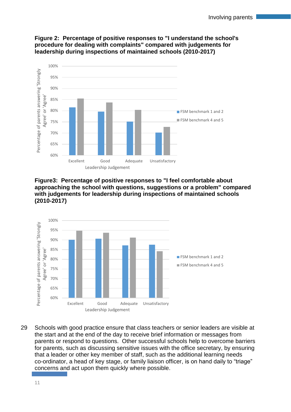

## **Figure 2: Percentage of positive responses to "I understand the school's procedure for dealing with complaints" compared with judgements for leadership during inspections of maintained schools (2010-2017)**





29 Schools with good practice ensure that class teachers or senior leaders are visible at the start and at the end of the day to receive brief information or messages from parents or respond to questions. Other successful schools help to overcome barriers for parents, such as discussing sensitive issues with the office secretary, by ensuring that a leader or other key member of staff, such as the additional learning needs co-ordinator, a head of key stage, or family liaison officer, is on hand daily to "triage" concerns and act upon them quickly where possible.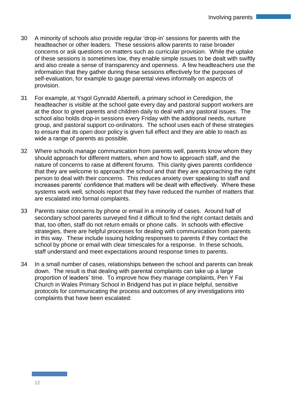- 30 A minority of schools also provide regular 'drop-in' sessions for parents with the headteacher or other leaders. These sessions allow parents to raise broader concerns or ask questions on matters such as curricular provision. While the uptake of these sessions is sometimes low, they enable simple issues to be dealt with swiftly and also create a sense of transparency and openness. A few headteachers use the information that they gather during these sessions effectively for the purposes of self-evaluation, for example to gauge parental views informally on aspects of provision.
- 31 For example, at Ysgol Gynradd Aberteifi, a primary school in Ceredigion, the headteacher is visible at the school gate every day and pastoral support workers are at the door to greet parents and children daily to deal with any pastoral issues. The school also holds drop-in sessions every Friday with the additional needs, nurture group, and pastoral support co-ordinators. The school uses each of these strategies to ensure that its open door policy is given full effect and they are able to reach as wide a range of parents as possible.
- 32 Where schools manage communication from parents well, parents know whom they should approach for different matters, when and how to approach staff, and the nature of concerns to raise at different forums. This clarity gives parents confidence that they are welcome to approach the school and that they are approaching the right person to deal with their concerns. This reduces anxiety over speaking to staff and increases parents' confidence that matters will be dealt with effectively. Where these systems work well, schools report that they have reduced the number of matters that are escalated into formal complaints.
- 33 Parents raise concerns by phone or email in a minority of cases. Around half of secondary school parents surveyed find it difficult to find the right contact details and that, too often, staff do not return emails or phone calls. In schools with effective strategies, there are helpful processes for dealing with communication from parents in this way. These include issuing holding responses to parents if they contact the school by phone or email with clear timescales for a response. In these schools, staff understand and meet expectations around response times to parents.
- 34 In a small number of cases, relationships between the school and parents can break down. The result is that dealing with parental complaints can take up a large proportion of leaders' time. To improve how they manage complaints, Pen Y Fai Church in Wales Primary School in Bridgend has put in place helpful, sensitive protocols for communicating the process and outcomes of any investigations into complaints that have been escalated: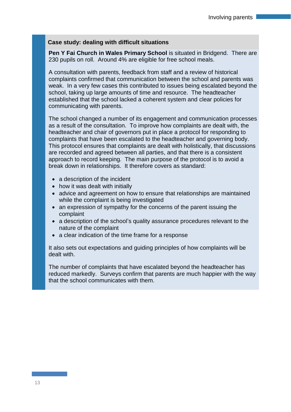#### **Case study: dealing with difficult situations**

**Pen Y Fai Church in Wales Primary School** is situated in Bridgend. There are 230 pupils on roll. Around 4% are eligible for free school meals.

A consultation with parents, feedback from staff and a review of historical complaints confirmed that communication between the school and parents was weak. In a very few cases this contributed to issues being escalated beyond the school, taking up large amounts of time and resource. The headteacher established that the school lacked a coherent system and clear policies for communicating with parents.

The school changed a number of its engagement and communication processes as a result of the consultation. To improve how complaints are dealt with, the headteacher and chair of governors put in place a protocol for responding to complaints that have been escalated to the headteacher and governing body. This protocol ensures that complaints are dealt with holistically, that discussions are recorded and agreed between all parties, and that there is a consistent approach to record keeping. The main purpose of the protocol is to avoid a break down in relationships. It therefore covers as standard:

- a description of the incident
- how it was dealt with initially
- advice and agreement on how to ensure that relationships are maintained while the complaint is being investigated
- an expression of sympathy for the concerns of the parent issuing the complaint
- a description of the school's quality assurance procedures relevant to the nature of the complaint
- a clear indication of the time frame for a response

It also sets out expectations and guiding principles of how complaints will be dealt with.

The number of complaints that have escalated beyond the headteacher has reduced markedly. Surveys confirm that parents are much happier with the way that the school communicates with them.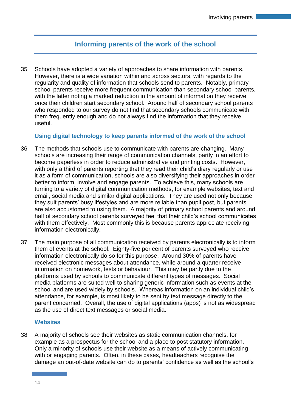## **Informing parents of the work of the school**

35 Schools have adopted a variety of approaches to share information with parents. However, there is a wide variation within and across sectors, with regards to the regularity and quality of information that schools send to parents. Notably, primary school parents receive more frequent communication than secondary school parents, with the latter noting a marked reduction in the amount of information they receive once their children start secondary school. Around half of secondary school parents who responded to our survey do not find that secondary schools communicate with them frequently enough and do not always find the information that they receive useful.

**Using digital technology to keep parents informed of the work of the school**

- 36 The methods that schools use to communicate with parents are changing. Many schools are increasing their range of communication channels, partly in an effort to become paperless in order to reduce administrative and printing costs. However, with only a third of parents reporting that they read their child's diary regularly or use it as a form of communication, schools are also diversifying their approaches in order better to inform, involve and engage parents. To achieve this, many schools are turning to a variety of digital communication methods, for example websites, text and email, social media and similar digital applications. They are used not only because they suit parents' busy lifestyles and are more reliable than pupil post, but parents are also accustomed to using them. A majority of primary school parents and around half of secondary school parents surveyed feel that their child's school communicates with them effectively. Most commonly this is because parents appreciate receiving information electronically.
- 37 The main purpose of all communication received by parents electronically is to inform them of events at the school. Eighty-five per cent of parents surveyed who receive information electronically do so for this purpose. Around 30% of parents have received electronic messages about attendance, while around a quarter receive information on homework, tests or behaviour. This may be partly due to the platforms used by schools to communicate different types of messages. Social media platforms are suited well to sharing generic information such as events at the school and are used widely by schools. Whereas information on an individual child's attendance, for example, is most likely to be sent by text message directly to the parent concerned. Overall, the use of digital applications (apps) is not as widespread as the use of direct text messages or social media.

## **Websites**

38 A majority of schools see their websites as static communication channels, for example as a prospectus for the school and a place to post statutory information. Only a minority of schools use their website as a means of actively communicating with or engaging parents. Often, in these cases, headteachers recognise the damage an out-of-date website can do to parents' confidence as well as the school's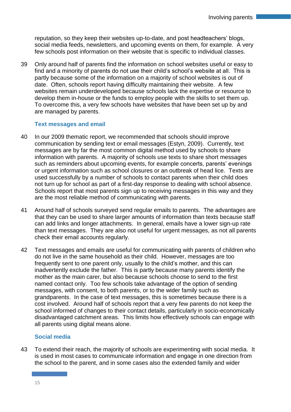reputation, so they keep their websites up-to-date, and post headteachers' blogs, social media feeds, newsletters, and upcoming events on them, for example. A very few schools post information on their website that is specific to individual classes.

39 Only around half of parents find the information on school websites useful or easy to find and a minority of parents do not use their child's school's website at all. This is partly because some of the information on a majority of school websites is out of date. Often, schools report having difficulty maintaining their website. A few websites remain underdeveloped because schools lack the expertise or resource to develop them in-house or the funds to employ people with the skills to set them up. To overcome this, a very few schools have websites that have been set up by and are managed by parents.

## **Text messages and email**

- 40 In our 2009 thematic report, we recommended that schools should improve communication by sending text or email messages (Estyn, 2009). Currently, text messages are by far the most common digital method used by schools to share information with parents. A majority of schools use texts to share short messages such as reminders about upcoming events, for example concerts, parents' evenings or urgent information such as school closures or an outbreak of head lice. Texts are used successfully by a number of schools to contact parents when their child does not turn up for school as part of a first-day response to dealing with school absence. Schools report that most parents sign up to receiving messages in this way and they are the most reliable method of communicating with parents.
- 41 Around half of schools surveyed send regular emails to parents. The advantages are that they can be used to share larger amounts of information than texts because staff can add links and longer attachments. In general, emails have a lower sign-up rate than text messages. They are also not useful for urgent messages, as not all parents check their email accounts regularly.
- 42 Text messages and emails are useful for communicating with parents of children who do not live in the same household as their child. However, messages are too frequently sent to one parent only, usually to the child's mother, and this can inadvertently exclude the father. This is partly because many parents identify the mother as the main carer, but also because schools choose to send to the first named contact only. Too few schools take advantage of the option of sending messages, with consent, to both parents, or to the wider family such as grandparents. In the case of text messages, this is sometimes because there is a cost involved. Around half of schools report that a very few parents do not keep the school informed of changes to their contact details, particularly in socio-economically disadvantaged catchment areas. This limits how effectively schools can engage with all parents using digital means alone.

## **Social media**

43 To extend their reach, the majority of schools are experimenting with social media. It is used in most cases to communicate information and engage in one direction from the school to the parent, and in some cases also the extended family and wider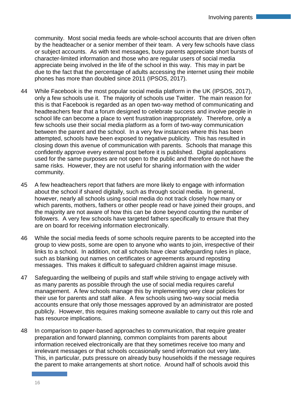community. Most social media feeds are whole-school accounts that are driven often by the headteacher or a senior member of their team. A very few schools have class or subject accounts. As with text messages, busy parents appreciate short bursts of character-limited information and those who are regular users of social media appreciate being involved in the life of the school in this way. This may in part be due to the fact that the percentage of adults accessing the internet using their mobile phones has more than doubled since 2011 (IPSOS, 2017).

- 44 While Facebook is the most popular social media platform in the UK (IPSOS, 2017), only a few schools use it. The majority of schools use Twitter. The main reason for this is that Facebook is regarded as an open two-way method of communicating and headteachers fear that a forum designed to celebrate success and involve people in school life can become a place to vent frustration inappropriately. Therefore, only a few schools use their social media platform as a form of two-way communication between the parent and the school. In a very few instances where this has been attempted, schools have been exposed to negative publicity. This has resulted in closing down this avenue of communication with parents. Schools that manage this confidently approve every external post before it is published. Digital applications used for the same purposes are not open to the public and therefore do not have the same risks. However, they are not useful for sharing information with the wider community.
- 45 A few headteachers report that fathers are more likely to engage with information about the school if shared digitally, such as through social media. In general, however, nearly all schools using social media do not track closely how many or which parents, mothers, fathers or other people read or have joined their groups, and the majority are not aware of how this can be done beyond counting the number of followers. A very few schools have targeted fathers specifically to ensure that they are on board for receiving information electronically.
- 46 While the social media feeds of some schools require parents to be accepted into the group to view posts, some are open to anyone who wants to join, irrespective of their links to a school. In addition, not all schools have clear safeguarding rules in place, such as blanking out names on certificates or agreements around reposting messages. This makes it difficult to safeguard children against image misuse.
- 47 Safeguarding the wellbeing of pupils and staff while striving to engage actively with as many parents as possible through the use of social media requires careful management. A few schools manage this by implementing very clear policies for their use for parents and staff alike. A few schools using two-way social media accounts ensure that only those messages approved by an administrator are posted publicly. However, this requires making someone available to carry out this role and has resource implications.
- 48 In comparison to paper-based approaches to communication, that require greater preparation and forward planning, common complaints from parents about information received electronically are that they sometimes receive too many and irrelevant messages or that schools occasionally send information out very late. This, in particular, puts pressure on already busy households if the message requires the parent to make arrangements at short notice. Around half of schools avoid this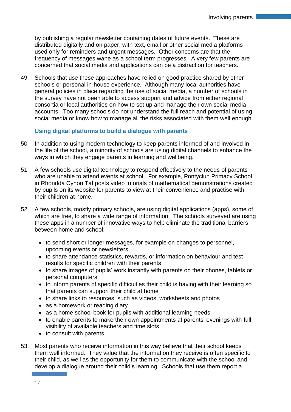by publishing a regular newsletter containing dates of future events. These are distributed digitally and on paper, with text, email or other social media platforms used only for reminders and urgent messages. Other concerns are that the frequency of messages wane as a school term progresses. A very few parents are concerned that social media and applications can be a distraction for teachers.

49 Schools that use these approaches have relied on good practice shared by other schools or personal in-house experience. Although many local authorities have general policies in place regarding the use of social media, a number of schools in the survey have not been able to access support and advice from either regional consortia or local authorities on how to set up and manage their own social media accounts. Too many schools do not understand the full reach and potential of using social media or know how to manage all the risks associated with them well enough.

## **Using digital platforms to build a dialogue with parents**

- 50 In addition to using modern technology to keep parents informed of and involved in the life of the school, a minority of schools are using digital channels to enhance the ways in which they engage parents in learning and wellbeing.
- 51 A few schools use digital technology to respond effectively to the needs of parents who are unable to attend events at school. For example, Pontyclun Primacy School in Rhondda Cynon Taf posts video tutorials of mathematical demonstrations created by pupils on its website for parents to view at their convenience and practise with their children at home.
- 52 A few schools, mostly primary schools, are using digital applications (apps), some of which are free, to share a wide range of information. The schools surveyed are using these apps in a number of innovative ways to help eliminate the traditional barriers between home and school:
	- to send short or longer messages, for example on changes to personnel, upcoming events or newsletters
	- to share attendance statistics, rewards, or information on behaviour and test results for specific children with their parents
	- to share images of pupils' work instantly with parents on their phones, tablets or personal computers
	- to inform parents of specific difficulties their child is having with their learning so that parents can support their child at home
	- to share links to resources, such as videos, worksheets and photos
	- as a homework or reading diary
	- as a home school book for pupils with additional learning needs
	- to enable parents to make their own appointments at parents' evenings with full visibility of available teachers and time slots
	- to consult with parents
- 53 Most parents who receive information in this way believe that their school keeps them well informed. They value that the information they receive is often specific to their child, as well as the opportunity for them to communicate with the school and develop a dialogue around their child's learning. Schools that use them report a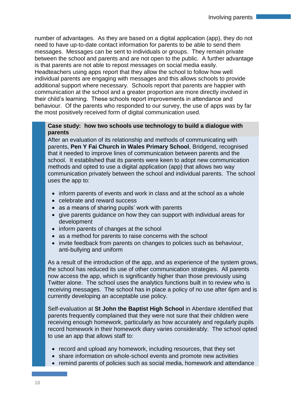number of advantages. As they are based on a digital application (app), they do not need to have up-to-date contact information for parents to be able to send them messages. Messages can be sent to individuals or groups. They remain private between the school and parents and are not open to the public. A further advantage is that parents are not able to repost messages on social media easily.

Headteachers using apps report that they allow the school to follow how well individual parents are engaging with messages and this allows schools to provide additional support where necessary. Schools report that parents are happier with communication at the school and a greater proportion are more directly involved in their child's learning. These schools report improvements in attendance and behaviour. Of the parents who responded to our survey, the use of apps was by far the most positively received form of digital communication used.

#### **Case study: how two schools use technology to build a dialogue with parents**

After an evaluation of its relationship and methods of communicating with parents, **Pen Y Fai Church in Wales Primary School**, Bridgend, recognised that it needed to improve lines of communication between parents and the school. It established that its parents were keen to adopt new communication methods and opted to use a digital application (app) that allows two way communication privately between the school and individual parents. The school uses the app to:

- inform parents of events and work in class and at the school as a whole
- celebrate and reward success
- as a means of sharing pupils' work with parents
- give parents guidance on how they can support with individual areas for development
- inform parents of changes at the school
- as a method for parents to raise concerns with the school
- invite feedback from parents on changes to policies such as behaviour, anti-bullying and uniform

As a result of the introduction of the app, and as experience of the system grows, the school has reduced its use of other communication strategies. All parents now access the app, which is significantly higher than those previously using Twitter alone. The school uses the analytics functions built in to review who is receiving messages. The school has in place a policy of no use after 6pm and is currently developing an acceptable use policy.

Self-evaluation at **St John the Baptist High School** in Aberdare identified that parents frequently complained that they were not sure that their children were receiving enough homework, particularly as how accurately and regularly pupils record homework in their homework diary varies considerably. The school opted to use an app that allows staff to:

- record and upload any homework, including resources, that they set
- share information on whole-school events and promote new activities
- remind parents of policies such as social media, homework and attendance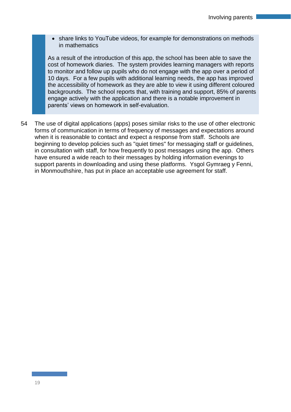• share links to YouTube videos, for example for demonstrations on methods in mathematics

As a result of the introduction of this app, the school has been able to save the cost of homework diaries. The system provides learning managers with reports to monitor and follow up pupils who do not engage with the app over a period of 10 days. For a few pupils with additional learning needs, the app has improved the accessibility of homework as they are able to view it using different coloured backgrounds. The school reports that, with training and support, 85% of parents engage actively with the application and there is a notable improvement in parents' views on homework in self-evaluation.

54 The use of digital applications (apps) poses similar risks to the use of other electronic forms of communication in terms of frequency of messages and expectations around when it is reasonable to contact and expect a response from staff. Schools are beginning to develop policies such as "quiet times" for messaging staff or guidelines, in consultation with staff, for how frequently to post messages using the app. Others have ensured a wide reach to their messages by holding information evenings to support parents in downloading and using these platforms. Ysgol Gymraeg y Fenni, in Monmouthshire, has put in place an acceptable use agreement for staff.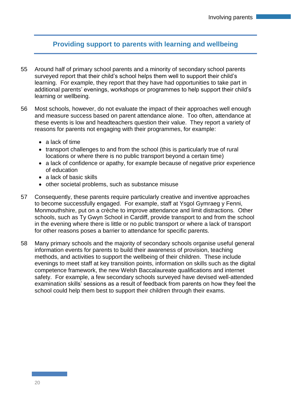## **Providing support to parents with learning and wellbeing**

- 55 Around half of primary school parents and a minority of secondary school parents surveyed report that their child's school helps them well to support their child's learning. For example, they report that they have had opportunities to take part in additional parents' evenings, workshops or programmes to help support their child's learning or wellbeing.
- 56 Most schools, however, do not evaluate the impact of their approaches well enough and measure success based on parent attendance alone. Too often, attendance at these events is low and headteachers question their value. They report a variety of reasons for parents not engaging with their programmes, for example:
	- a lack of time
	- transport challenges to and from the school (this is particularly true of rural locations or where there is no public transport beyond a certain time)
	- a lack of confidence or apathy, for example because of negative prior experience of education
	- a lack of basic skills
	- other societal problems, such as substance misuse
- 57 Consequently, these parents require particularly creative and inventive approaches to become successfully engaged. For example, staff at Ysgol Gymraeg y Fenni, Monmouthshire, put on a crèche to improve attendance and limit distractions. Other schools, such as Ty Gwyn School in Cardiff, provide transport to and from the school in the evening where there is little or no public transport or where a lack of transport for other reasons poses a barrier to attendance for specific parents.
- 58 Many primary schools and the majority of secondary schools organise useful general information events for parents to build their awareness of provision, teaching methods, and activities to support the wellbeing of their children. These include evenings to meet staff at key transition points, information on skills such as the digital competence framework, the new Welsh Baccalaureate qualifications and internet safety. For example, a few secondary schools surveyed have devised well-attended examination skills' sessions as a result of feedback from parents on how they feel the school could help them best to support their children through their exams.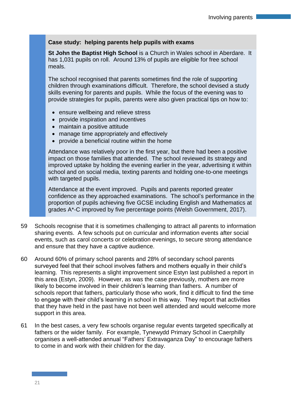## **Case study: helping parents help pupils with exams**

**St John the Baptist High School** is a Church in Wales school in Aberdare. It has 1,031 pupils on roll. Around 13% of pupils are eligible for free school meals.

The school recognised that parents sometimes find the role of supporting children through examinations difficult. Therefore, the school devised a study skills evening for parents and pupils. While the focus of the evening was to provide strategies for pupils, parents were also given practical tips on how to:

- ensure wellbeing and relieve stress
- provide inspiration and incentives
- maintain a positive attitude
- manage time appropriately and effectively
- provide a beneficial routine within the home

Attendance was relatively poor in the first year, but there had been a positive impact on those families that attended. The school reviewed its strategy and improved uptake by holding the evening earlier in the year, advertising it within school and on social media, texting parents and holding one-to-one meetings with targeted pupils.

Attendance at the event improved. Pupils and parents reported greater confidence as they approached examinations. The school's performance in the proportion of pupils achieving five GCSE including English and Mathematics at grades A\*-C improved by five percentage points (Welsh Government, 2017).

- 59 Schools recognise that it is sometimes challenging to attract all parents to information sharing events. A few schools put on curricular and information events after social events, such as carol concerts or celebration evenings, to secure strong attendance and ensure that they have a captive audience.
- 60 Around 60% of primary school parents and 28% of secondary school parents surveyed feel that their school involves fathers and mothers equally in their child's learning. This represents a slight improvement since Estyn last published a report in this area (Estyn, 2009). However, as was the case previously, mothers are more likely to become involved in their children's learning than fathers. A number of schools report that fathers, particularly those who work, find it difficult to find the time to engage with their child's learning in school in this way. They report that activities that they have held in the past have not been well attended and would welcome more support in this area.
- 61 In the best cases, a very few schools organise regular events targeted specifically at fathers or the wider family. For example, Tynewydd Primary School in Caerphilly organises a well-attended annual "Fathers' Extravaganza Day" to encourage fathers to come in and work with their children for the day.

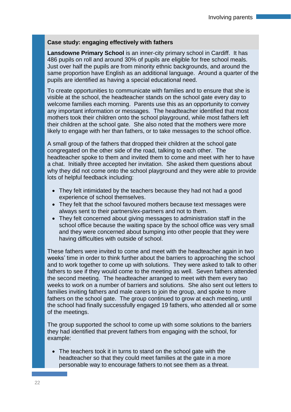## **Case study: engaging effectively with fathers**

**Lansdowne Primary School** is an inner-city primary school in Cardiff. It has 486 pupils on roll and around 30% of pupils are eligible for free school meals. Just over half the pupils are from minority ethnic backgrounds, and around the same proportion have English as an additional language. Around a quarter of the pupils are identified as having a special educational need.

To create opportunities to communicate with families and to ensure that she is visible at the school, the headteacher stands on the school gate every day to welcome families each morning. Parents use this as an opportunity to convey any important information or messages. The headteacher identified that most mothers took their children onto the school playground, while most fathers left their children at the school gate. She also noted that the mothers were more likely to engage with her than fathers, or to take messages to the school office.

A small group of the fathers that dropped their children at the school gate congregated on the other side of the road, talking to each other. The headteacher spoke to them and invited them to come and meet with her to have a chat. Initially three accepted her invitation. She asked them questions about why they did not come onto the school playground and they were able to provide lots of helpful feedback including:

- They felt intimidated by the teachers because they had not had a good experience of school themselves.
- They felt that the school favoured mothers because text messages were always sent to their partners/ex-partners and not to them.
- They felt concerned about giving messages to administration staff in the school office because the waiting space by the school office was very small and they were concerned about bumping into other people that they were having difficulties with outside of school.

These fathers were invited to come and meet with the headteacher again in two weeks' time in order to think further about the barriers to approaching the school and to work together to come up with solutions. They were asked to talk to other fathers to see if they would come to the meeting as well. Seven fathers attended the second meeting. The headteacher arranged to meet with them every two weeks to work on a number of barriers and solutions. She also sent out letters to families inviting fathers and male carers to join the group, and spoke to more fathers on the school gate. The group continued to grow at each meeting, until the school had finally successfully engaged 19 fathers, who attended all or some of the meetings.

The group supported the school to come up with some solutions to the barriers they had identified that prevent fathers from engaging with the school, for example:

 The teachers took it in turns to stand on the school gate with the headteacher so that they could meet families at the gate in a more personable way to encourage fathers to not see them as a threat.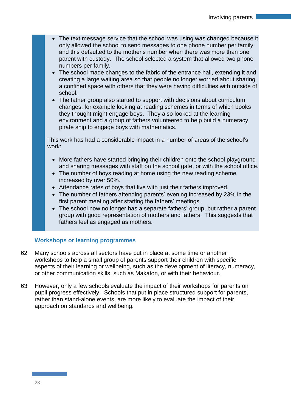- The text message service that the school was using was changed because it only allowed the school to send messages to one phone number per family and this defaulted to the mother's number when there was more than one parent with custody. The school selected a system that allowed two phone numbers per family.
- The school made changes to the fabric of the entrance hall, extending it and creating a large waiting area so that people no longer worried about sharing a confined space with others that they were having difficulties with outside of school.
- The father group also started to support with decisions about curriculum changes, for example looking at reading schemes in terms of which books they thought might engage boys. They also looked at the learning environment and a group of fathers volunteered to help build a numeracy pirate ship to engage boys with mathematics.

This work has had a considerable impact in a number of areas of the school's work:

- More fathers have started bringing their children onto the school playground and sharing messages with staff on the school gate, or with the school office.
- The number of boys reading at home using the new reading scheme increased by over 50%.
- Attendance rates of boys that live with just their fathers improved.
- The number of fathers attending parents' evening increased by 23% in the first parent meeting after starting the fathers' meetings.
- The school now no longer has a separate fathers' group, but rather a parent group with good representation of mothers and fathers. This suggests that fathers feel as engaged as mothers.

## **Workshops or learning programmes**

- 62 Many schools across all sectors have put in place at some time or another workshops to help a small group of parents support their children with specific aspects of their learning or wellbeing, such as the development of literacy, numeracy, or other communication skills, such as Makaton, or with their behaviour.
- 63 However, only a few schools evaluate the impact of their workshops for parents on pupil progress effectively. Schools that put in place structured support for parents, rather than stand-alone events, are more likely to evaluate the impact of their approach on standards and wellbeing.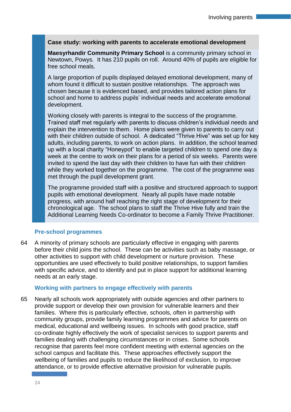## **Case study: working with parents to accelerate emotional development**

**Maesyrhandir Community Primary School** is a community primary school in Newtown, Powys. It has 210 pupils on roll. Around 40% of pupils are eligible for free school meals.

A large proportion of pupils displayed delayed emotional development, many of whom found it difficult to sustain positive relationships. The approach was chosen because it is evidenced based, and provides tailored action plans for school and home to address pupils' individual needs and accelerate emotional development.

Working closely with parents is integral to the success of the programme. Trained staff met regularly with parents to discuss children's individual needs and explain the intervention to them. Home plans were given to parents to carry out with their children outside of school. A dedicated "Thrive Hive" was set up for key adults, including parents, to work on action plans. In addition, the school teamed up with a local charity "Honeypot" to enable targeted children to spend one day a week at the centre to work on their plans for a period of six weeks. Parents were invited to spend the last day with their children to have fun with their children while they worked together on the programme. The cost of the programme was met through the pupil development grant.

The programme provided staff with a positive and structured approach to support pupils with emotional development. Nearly all pupils have made notable progress, with around half reaching the right stage of development for their chronological age. The school plans to staff the Thrive Hive fully and train the Additional Learning Needs Co-ordinator to become a Family Thrive Practitioner.

## **Pre-school programmes**

64 A minority of primary schools are particularly effective in engaging with parents before their child joins the school. These can be activities such as baby massage, or other activities to support with child development or nurture provision. These opportunities are used effectively to build positive relationships, to support families with specific advice, and to identify and put in place support for additional learning needs at an early stage.

#### **Working with partners to engage effectively with parents**

65 Nearly all schools work appropriately with outside agencies and other partners to provide support or develop their own provision for vulnerable learners and their families. Where this is particularly effective, schools, often in partnership with community groups, provide family learning programmes and advice for parents on medical, educational and wellbeing issues. In schools with good practice, staff co-ordinate highly effectively the work of specialist services to support parents and families dealing with challenging circumstances or in crises. Some schools recognise that parents feel more confident meeting with external agencies on the school campus and facilitate this. These approaches effectively support the wellbeing of families and pupils to reduce the likelihood of exclusion, to improve attendance, or to provide effective alternative provision for vulnerable pupils.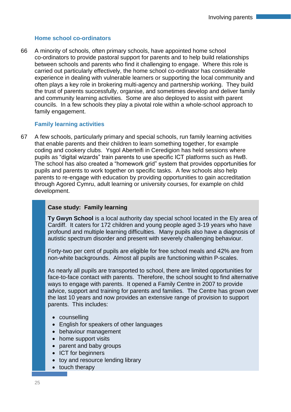## **Home school co-ordinators**

66 A minority of schools, often primary schools, have appointed home school co-ordinators to provide pastoral support for parents and to help build relationships between schools and parents who find it challenging to engage. Where this role is carried out particularly effectively, the home school co-ordinator has considerable experience in dealing with vulnerable learners or supporting the local community and often plays a key role in brokering multi-agency and partnership working. They build the trust of parents successfully, organise, and sometimes develop and deliver family and community learning activities. Some are also deployed to assist with parent councils. In a few schools they play a pivotal role within a whole-school approach to family engagement.

## **Family learning activities**

67 A few schools, particularly primary and special schools, run family learning activities that enable parents and their children to learn something together, for example coding and cookery clubs. Ysgol Aberteifi in Ceredigion has held sessions where pupils as "digital wizards" train parents to use specific ICT platforms such as HwB. The school has also created a "homework grid" system that provides opportunities for pupils and parents to work together on specific tasks. A few schools also help parents to re-engage with education by providing opportunities to gain accreditation through Agored Cymru, adult learning or university courses, for example on child development.

## **Case study: Family learning**

**Ty Gwyn School** is a local authority day special school located in the Ely area of Cardiff. It caters for 172 children and young people aged 3-19 years who have profound and multiple learning difficulties. Many pupils also have a diagnosis of autistic spectrum disorder and present with severely challenging behaviour.

Forty-two per cent of pupils are eligible for free school meals and 42% are from non-white backgrounds. Almost all pupils are functioning within P-scales.

As nearly all pupils are transported to school, there are limited opportunities for face-to-face contact with parents. Therefore, the school sought to find alternative ways to engage with parents. It opened a Family Centre in 2007 to provide advice, support and training for parents and families. The Centre has grown over the last 10 years and now provides an extensive range of provision to support parents. This includes:

- counselling
- English for speakers of other languages
- behaviour management
- home support visits
- parent and baby groups
- ICT for beginners
- toy and resource lending library
- touch therapy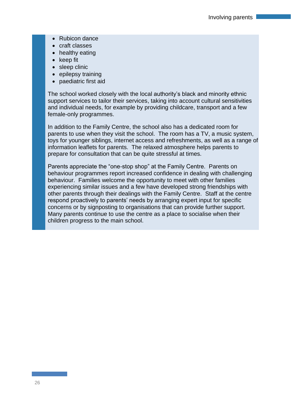- Rubicon dance
- craft classes
- healthy eating
- $\bullet$  keep fit
- sleep clinic
- $\bullet$  epilepsy training
- paediatric first aid

The school worked closely with the local authority's black and minority ethnic support services to tailor their services, taking into account cultural sensitivities and individual needs, for example by providing childcare, transport and a few female-only programmes.

In addition to the Family Centre, the school also has a dedicated room for parents to use when they visit the school. The room has a TV, a music system, toys for younger siblings, internet access and refreshments, as well as a range of information leaflets for parents. The relaxed atmosphere helps parents to prepare for consultation that can be quite stressful at times.

Parents appreciate the "one-stop shop" at the Family Centre. Parents on behaviour programmes report increased confidence in dealing with challenging behaviour. Families welcome the opportunity to meet with other families experiencing similar issues and a few have developed strong friendships with other parents through their dealings with the Family Centre. Staff at the centre respond proactively to parents' needs by arranging expert input for specific concerns or by signposting to organisations that can provide further support. Many parents continue to use the centre as a place to socialise when their children progress to the main school.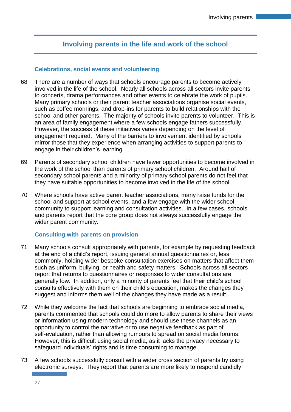## **Involving parents in the life and work of the school**

#### **Celebrations, social events and volunteering**

- 68 There are a number of ways that schools encourage parents to become actively involved in the life of the school. Nearly all schools across all sectors invite parents to concerts, drama performances and other events to celebrate the work of pupils. Many primary schools or their parent teacher associations organise social events, such as coffee mornings, and drop-ins for parents to build relationships with the school and other parents. The majority of schools invite parents to volunteer. This is an area of family engagement where a few schools engage fathers successfully. However, the success of these initiatives varies depending on the level of engagement required. Many of the barriers to involvement identified by schools mirror those that they experience when arranging activities to support parents to engage in their children's learning.
- 69 Parents of secondary school children have fewer opportunities to become involved in the work of the school than parents of primary school children. Around half of secondary school parents and a minority of primary school parents do not feel that they have suitable opportunities to become involved in the life of the school.
- 70 Where schools have active parent teacher associations, many raise funds for the school and support at school events, and a few engage with the wider school community to support learning and consultation activities. In a few cases, schools and parents report that the core group does not always successfully engage the wider parent community.

## **Consulting with parents on provision**

- 71 Many schools consult appropriately with parents, for example by requesting feedback at the end of a child's report, issuing general annual questionnaires or, less commonly, holding wider bespoke consultation exercises on matters that affect them such as uniform, bullying, or health and safety matters. Schools across all sectors report that returns to questionnaires or responses to wider consultations are generally low. In addition, only a minority of parents feel that their child's school consults effectively with them on their child's education, makes the changes they suggest and informs them well of the changes they have made as a result.
- 72 While they welcome the fact that schools are beginning to embrace social media, parents commented that schools could do more to allow parents to share their views or information using modern technology and should use these channels as an opportunity to control the narrative or to use negative feedback as part of self-evaluation, rather than allowing rumours to spread on social media forums. However, this is difficult using social media, as it lacks the privacy necessary to safeguard individuals' rights and is time consuming to manage.
- 73 A few schools successfully consult with a wider cross section of parents by using electronic surveys. They report that parents are more likely to respond candidly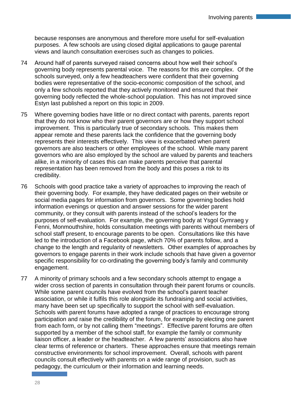because responses are anonymous and therefore more useful for self-evaluation purposes. A few schools are using closed digital applications to gauge parental views and launch consultation exercises such as changes to policies.

- 74 Around half of parents surveyed raised concerns about how well their school's governing body represents parental voice. The reasons for this are complex. Of the schools surveyed, only a few headteachers were confident that their governing bodies were representative of the socio-economic composition of the school, and only a few schools reported that they actively monitored and ensured that their governing body reflected the whole-school population. This has not improved since Estyn last published a report on this topic in 2009.
- 75 Where governing bodies have little or no direct contact with parents, parents report that they do not know who their parent governors are or how they support school improvement. This is particularly true of secondary schools. This makes them appear remote and these parents lack the confidence that the governing body represents their interests effectively. This view is exacerbated when parent governors are also teachers or other employees of the school. While many parent governors who are also employed by the school are valued by parents and teachers alike, in a minority of cases this can make parents perceive that parental representation has been removed from the body and this poses a risk to its credibility.
- 76 Schools with good practice take a variety of approaches to improving the reach of their governing body. For example, they have dedicated pages on their website or social media pages for information from governors. Some governing bodies hold information evenings or question and answer sessions for the wider parent community, or they consult with parents instead of the school's leaders for the purposes of self-evaluation. For example, the governing body at Ysgol Gymraeg y Fenni, Monmouthshire, holds consultation meetings with parents without members of school staff present, to encourage parents to be open. Consultations like this have led to the introduction of a Facebook page, which 70% of parents follow, and a change to the length and regularity of newsletters. Other examples of approaches by governors to engage parents in their work include schools that have given a governor specific responsibility for co-ordinating the governing body's family and community engagement.
- 77 A minority of primary schools and a few secondary schools attempt to engage a wider cross section of parents in consultation through their parent forums or councils. While some parent councils have evolved from the school's parent teacher association, or while it fulfils this role alongside its fundraising and social activities, many have been set up specifically to support the school with self-evaluation. Schools with parent forums have adopted a range of practices to encourage strong participation and raise the credibility of the forum, for example by electing one parent from each form, or by not calling them "meetings". Effective parent forums are often supported by a member of the school staff, for example the family or community liaison officer, a leader or the headteacher. A few parents' associations also have clear terms of reference or charters. These approaches ensure that meetings remain constructive environments for school improvement. Overall, schools with parent councils consult effectively with parents on a wide range of provision, such as pedagogy, the curriculum or their information and learning needs.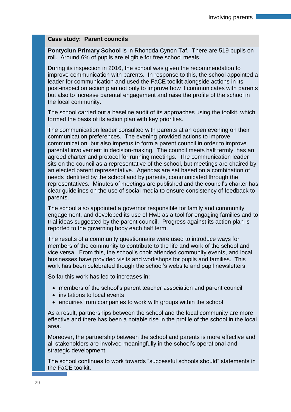#### **Case study: Parent councils**

**Pontyclun Primary School** is in Rhondda Cynon Taf. There are 519 pupils on roll. Around 6% of pupils are eligible for free school meals.

During its inspection in 2016, the school was given the recommendation to improve communication with parents. In response to this, the school appointed a leader for communication and used the FaCE toolkit alongside actions in its post-inspection action plan not only to improve how it communicates with parents but also to increase parental engagement and raise the profile of the school in the local community.

The school carried out a baseline audit of its approaches using the toolkit, which formed the basis of its action plan with key priorities.

The communication leader consulted with parents at an open evening on their communication preferences. The evening provided actions to improve communication, but also impetus to form a parent council in order to improve parental involvement in decision-making. The council meets half termly, has an agreed charter and protocol for running meetings. The communication leader sits on the council as a representative of the school, but meetings are chaired by an elected parent representative. Agendas are set based on a combination of needs identified by the school and by parents, communicated through the representatives. Minutes of meetings are published and the council's charter has clear guidelines on the use of social media to ensure consistency of feedback to parents.

The school also appointed a governor responsible for family and community engagement, and developed its use of Hwb as a tool for engaging families and to trial ideas suggested by the parent council. Progress against its action plan is reported to the governing body each half term.

The results of a community questionnaire were used to introduce ways for members of the community to contribute to the life and work of the school and vice versa. From this, the school's choir attended community events, and local businesses have provided visits and workshops for pupils and families. This work has been celebrated though the school's website and pupil newsletters.

So far this work has led to increases in:

- members of the school's parent teacher association and parent council
- invitations to local events
- enquiries from companies to work with groups within the school

As a result, partnerships between the school and the local community are more effective and there has been a notable rise in the profile of the school in the local area.

Moreover, the partnership between the school and parents is more effective and all stakeholders are involved meaningfully in the school's operational and strategic development.

The school continues to work towards "successful schools should" statements in the FaCE toolkit.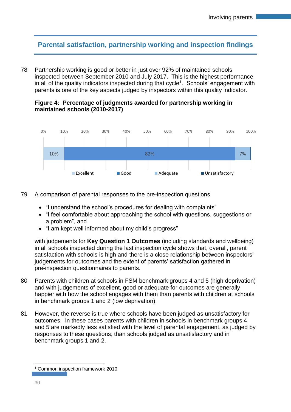## **Parental satisfaction, partnership working and inspection findings**

78 Partnership working is good or better in just over 92% of maintained schools inspected between September 2010 and July 2017. This is the highest performance in all of the quality indicators inspected during that cycle<sup>1</sup>. Schools' engagement with parents is one of the key aspects judged by inspectors within this quality indicator.

## **Figure 4: Percentage of judgments awarded for partnership working in maintained schools (2010-2017)**



- 79 A comparison of parental responses to the pre-inspection questions
	- "I understand the school's procedures for dealing with complaints"
	- "I feel comfortable about approaching the school with questions, suggestions or a problem", and
	- "I am kept well informed about my child's progress"

with judgements for **Key Question 1 Outcomes** (including standards and wellbeing) in all schools inspected during the last inspection cycle shows that, overall, parent satisfaction with schools is high and there is a close relationship between inspectors' judgements for outcomes and the extent of parents' satisfaction gathered in pre-inspection questionnaires to parents.

- 80 Parents with children at schools in FSM benchmark groups 4 and 5 (high deprivation) and with judgements of excellent, good or adequate for outcomes are generally happier with how the school engages with them than parents with children at schools in benchmark groups 1 and 2 (low deprivation).
- 81 However, the reverse is true where schools have been judged as unsatisfactory for outcomes. In these cases parents with children in schools in benchmark groups 4 and 5 are markedly less satisfied with the level of parental engagement, as judged by responses to these questions, than schools judged as unsatisfactory and in benchmark groups 1 and 2.

 $\overline{a}$ 

<sup>1</sup> Common inspection framework 2010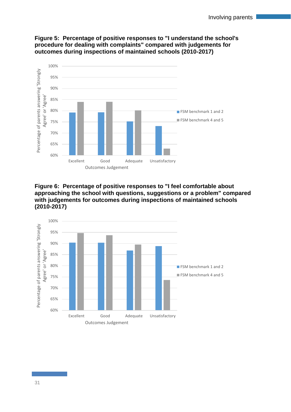

## **Figure 5: Percentage of positive responses to "I understand the school's procedure for dealing with complaints" compared with judgements for outcomes during inspections of maintained schools (2010-2017)**

**Figure 6: Percentage of positive responses to "I feel comfortable about approaching the school with questions, suggestions or a problem" compared with judgements for outcomes during inspections of maintained schools (2010-2017)**

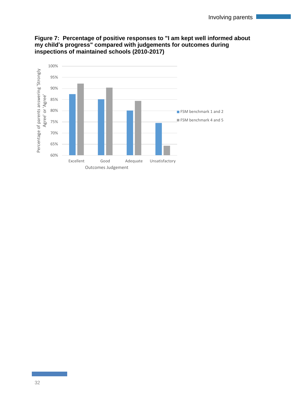

## **Figure 7: Percentage of positive responses to "I am kept well informed about my child's progress" compared with judgements for outcomes during inspections of maintained schools (2010-2017)**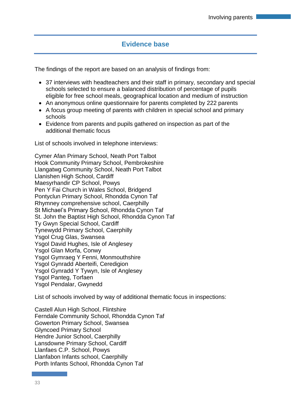## **Evidence base**

The findings of the report are based on an analysis of findings from:

- 37 interviews with headteachers and their staff in primary, secondary and special schools selected to ensure a balanced distribution of percentage of pupils eligible for free school meals, geographical location and medium of instruction
- An anonymous online questionnaire for parents completed by 222 parents
- A focus group meeting of parents with children in special school and primary schools
- Evidence from parents and pupils gathered on inspection as part of the additional thematic focus

List of schools involved in telephone interviews:

Cymer Afan Primary School, Neath Port Talbot Hook Community Primary School, Pembrokeshire Llangatwg Community School, Neath Port Talbot Llanishen High School, Cardiff Maesyrhandir CP School, Powys Pen Y Fai Church in Wales School, Bridgend Pontyclun Primary School, Rhondda Cynon Taf Rhymney comprehensive school, Caerphilly St Michael's Primary School, Rhondda Cynon Taf St. John the Baptist High School, Rhondda Cynon Taf Ty Gwyn Special School, Cardiff Tynewydd Primary School, Caerphilly Ysgol Crug Glas, Swansea Ysgol David Hughes, Isle of Anglesey Ysgol Glan Morfa, Conwy Ysgol Gymraeg Y Fenni, Monmouthshire Ysgol Gynradd Aberteifi, Ceredigion Ysgol Gynradd Y Tywyn, Isle of Anglesey Ysgol Panteg, Torfaen Ysgol Pendalar, Gwynedd

List of schools involved by way of additional thematic focus in inspections:

Castell Alun High School, Flintshire Ferndale Community School, Rhondda Cynon Taf Gowerton Primary School, Swansea Glyncoed Primary School Hendre Junior School, Caerphilly Lansdowne Primary School, Cardiff Llanfaes C.P. School, Powys Llanfabon Infants school, Caerphilly Porth Infants School, Rhondda Cynon Taf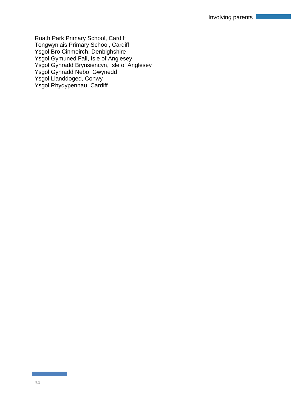Roath Park Primary School, Cardiff Tongwynlais Primary School, Cardiff Ysgol Bro Cinmeirch, Denbighshire Ysgol Gymuned Fali, Isle of Anglesey Ysgol Gynradd Brynsiencyn, Isle of Anglesey Ysgol Gynradd Nebo, Gwynedd Ysgol Llanddoged, Conwy Ysgol Rhydypennau, Cardiff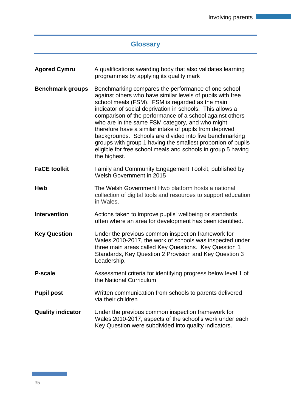## **Glossary**

| <b>Agored Cymru</b>      | A qualifications awarding body that also validates learning<br>programmes by applying its quality mark                                                                                                                                                                                                                                                                                                                                                                                                                                                                                                                 |  |  |  |  |  |  |
|--------------------------|------------------------------------------------------------------------------------------------------------------------------------------------------------------------------------------------------------------------------------------------------------------------------------------------------------------------------------------------------------------------------------------------------------------------------------------------------------------------------------------------------------------------------------------------------------------------------------------------------------------------|--|--|--|--|--|--|
| <b>Benchmark groups</b>  | Benchmarking compares the performance of one school<br>against others who have similar levels of pupils with free<br>school meals (FSM). FSM is regarded as the main<br>indicator of social deprivation in schools. This allows a<br>comparison of the performance of a school against others<br>who are in the same FSM category, and who might<br>therefore have a similar intake of pupils from deprived<br>backgrounds. Schools are divided into five benchmarking<br>groups with group 1 having the smallest proportion of pupils<br>eligible for free school meals and schools in group 5 having<br>the highest. |  |  |  |  |  |  |
| <b>FaCE toolkit</b>      | Family and Community Engagement Toolkit, published by<br>Welsh Government in 2015                                                                                                                                                                                                                                                                                                                                                                                                                                                                                                                                      |  |  |  |  |  |  |
| <b>Hwb</b>               | The Welsh Government Hwb platform hosts a national<br>collection of digital tools and resources to support education<br>in Wales.                                                                                                                                                                                                                                                                                                                                                                                                                                                                                      |  |  |  |  |  |  |
| <b>Intervention</b>      | Actions taken to improve pupils' wellbeing or standards,<br>often where an area for development has been identified.                                                                                                                                                                                                                                                                                                                                                                                                                                                                                                   |  |  |  |  |  |  |
| <b>Key Question</b>      | Under the previous common inspection framework for<br>Wales 2010-2017, the work of schools was inspected under<br>three main areas called Key Questions. Key Question 1<br>Standards, Key Question 2 Provision and Key Question 3<br>Leadership.                                                                                                                                                                                                                                                                                                                                                                       |  |  |  |  |  |  |
| P-scale                  | Assessment criteria for identifying progress below level 1 of<br>the National Curriculum                                                                                                                                                                                                                                                                                                                                                                                                                                                                                                                               |  |  |  |  |  |  |
| <b>Pupil post</b>        | Written communication from schools to parents delivered<br>via their children                                                                                                                                                                                                                                                                                                                                                                                                                                                                                                                                          |  |  |  |  |  |  |
| <b>Quality indicator</b> | Under the previous common inspection framework for<br>Wales 2010-2017, aspects of the school's work under each<br>Key Question were subdivided into quality indicators.                                                                                                                                                                                                                                                                                                                                                                                                                                                |  |  |  |  |  |  |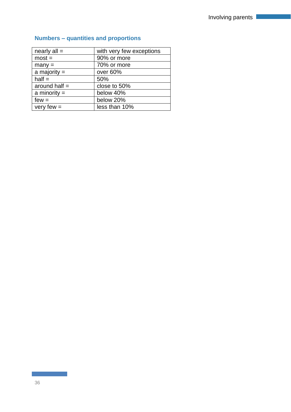| nearly $all =$  | with very few exceptions |
|-----------------|--------------------------|
| $most =$        | 90% or more              |
| $many =$        | 70% or more              |
| a majority $=$  | over 60%                 |
| $half =$        | 50%                      |
| around half $=$ | close to 50%             |
| a minority $=$  | below 40%                |
| $few =$         | below 20%                |
| very few $=$    | less than 10%            |

## **Numbers – quantities and proportions**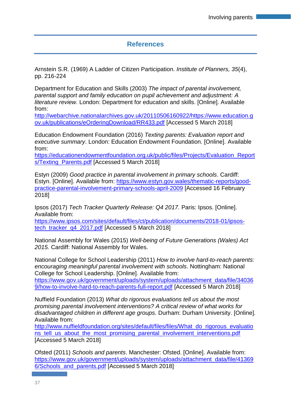## **References**

Arnstein S.R. (1969) A Ladder of Citizen Participation. *Institute of Planners, 35*(4), pp. 216-224

Department for Education and Skills (2003) *The impact of parental involvement, parental support and family education on pupil achievement and adjustment: A literature review.* London: Department for education and skills. [Online]. Available from:

[http://webarchive.nationalarchives.gov.uk/20110506160922/https://www.education.g](http://webarchive.nationalarchives.gov.uk/20110506160922/https:/www.education.gov.uk/publications/eOrderingDownload/RR433.pdf) [ov.uk/publications/eOrderingDownload/RR433.pdf](http://webarchive.nationalarchives.gov.uk/20110506160922/https:/www.education.gov.uk/publications/eOrderingDownload/RR433.pdf) [Accessed 5 March 2018]

Education Endowment Foundation (2016) *Texting parents: Evaluation report and executive summary*. London: Education Endowment Foundation. [Online]. Available from:

[https://educationendowmentfoundation.org.uk/public/files/Projects/Evaluation\\_Report](https://educationendowmentfoundation.org.uk/public/files/Projects/Evaluation_Reports/Texting_Parents.pdf) s/Texting Parents.pdf [Accessed 5 March 2018]

Estyn (2009) *Good practice in parental involvement in primary schools*. Cardiff: Estyn. [Online]. Available from: [https://www.estyn.gov.wales/thematic-reports/good](https://www.estyn.gov.wales/thematic-reports/good-practice-parental-involvement-primary-schools-april-2009)[practice-parental-involvement-primary-schools-april-2009](https://www.estyn.gov.wales/thematic-reports/good-practice-parental-involvement-primary-schools-april-2009) [Accessed 16 February 2018]

Ipsos (2017) *Tech Tracker Quarterly Release: Q4 2017.* Paris: Ipsos. [Online]. Available from:

[https://www.ipsos.com/sites/default/files/ct/publication/documents/2018-01/ipsos](https://www.ipsos.com/sites/default/files/ct/publication/documents/2018-01/ipsos-tech_tracker_q4_2017.pdf)[tech\\_tracker\\_q4\\_2017.pdf](https://www.ipsos.com/sites/default/files/ct/publication/documents/2018-01/ipsos-tech_tracker_q4_2017.pdf) [Accessed 5 March 2018]

National Assembly for Wales (2015) *Well-being of Future Generations (Wales) Act 2015.* Cardiff: National Assembly for Wales.

National College for School Leadership (2011) *How to involve hard-to-reach parents: encouraging meaningful parental involvement with schools*. Nottingham: National College for School Leadership. [Online]. Available from:

[https://www.gov.uk/government/uploads/system/uploads/attachment\\_data/file/34036](https://www.gov.uk/government/uploads/system/uploads/attachment_data/file/340369/how-to-involve-hard-to-reach-parents-full-report.pdf) [9/how-to-involve-hard-to-reach-parents-full-report.pdf](https://www.gov.uk/government/uploads/system/uploads/attachment_data/file/340369/how-to-involve-hard-to-reach-parents-full-report.pdf) [Accessed 5 March 2018]

Nuffield Foundation (2013) *What do rigorous evaluations tell us about the most promising parental involvement interventions? A critical review of what works for disadvantaged children in different age groups.* Durham: Durham University. [Online]. Available from:

[http://www.nuffieldfoundation.org/sites/default/files/files/What\\_do\\_rigorous\\_evaluatio](http://www.nuffieldfoundation.org/sites/default/files/files/What_do_rigorous_evaluations_tell_us_about_the_most_promising_parental_involvement_interventions.pdf) ns tell us about the most promising parental involvement interventions.pdf [Accessed 5 March 2018]

Ofsted (2011) *Schools and parents*. Manchester: Ofsted. [Online]. Available from: [https://www.gov.uk/government/uploads/system/uploads/attachment\\_data/file/41369](https://www.gov.uk/government/uploads/system/uploads/attachment_data/file/413696/Schools_and_parents.pdf) [6/Schools\\_and\\_parents.pdf](https://www.gov.uk/government/uploads/system/uploads/attachment_data/file/413696/Schools_and_parents.pdf) [Accessed 5 March 2018]